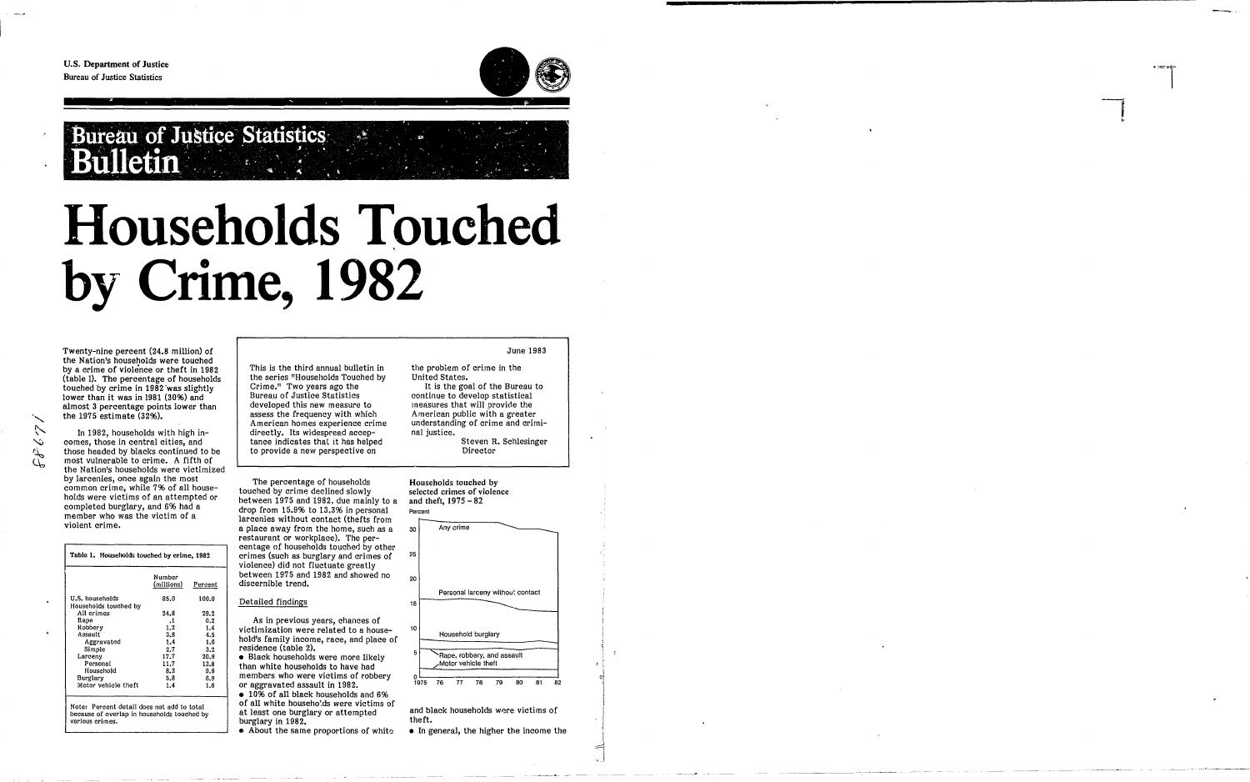"

t,  $\sim$  $\bar{\sigma}$  $\mathbb{Z}$  U.S. Department of Justice Bureau of Justice Statistics



## **Households Touched** \ **by Crime, 1982**

Twenty-nine percent (24.8 million) of the Nation's households were touched by a crime of violence or theft in 1982 (table 1). The percentage of households touched by crime in 1982 'was slightly lower than it was in 1981 (30%) and almost 3 percentage points lower than the 1975 estimate (32%).

In 1982, households with high incomes, those in central cities, and those headed by blacks continued to be most vulnerable to crime. A fifth of the Nation's households were victimized by larcenies, once again the most common crime, While 7% of all households were victims of an attempted or completed burglary, and 6% had a member who was the victim of a violent crime.

|                      | Table 1. Households touched by crime, 1982 |  |  |  |  |  |  |
|----------------------|--------------------------------------------|--|--|--|--|--|--|
| Number<br>(millions) | Percent                                    |  |  |  |  |  |  |
| 85.0                 | 100.0                                      |  |  |  |  |  |  |
| 24.8                 | 29.2                                       |  |  |  |  |  |  |
|                      | 0.2                                        |  |  |  |  |  |  |
|                      | 1.4                                        |  |  |  |  |  |  |
|                      | 4.5                                        |  |  |  |  |  |  |
|                      | 1.6                                        |  |  |  |  |  |  |
| 2.7                  | 3.2                                        |  |  |  |  |  |  |
| 17.7                 | 20.9                                       |  |  |  |  |  |  |
| 11.7                 | 13.8                                       |  |  |  |  |  |  |
| 8.2                  | 9.6                                        |  |  |  |  |  |  |
| 5.8                  | 6.9                                        |  |  |  |  |  |  |
| 1.4                  | 1.6                                        |  |  |  |  |  |  |
|                      | .1<br>1.2<br>3.8<br>1.4                    |  |  |  |  |  |  |

Note: Percent detail does not add to total because of overlap in households touched by various crimes.

• 10% of all black households and 6% of all white househo!ds were victims of at least one burglary or attempted burglary in 1982.

 $\bullet$  About the same proportions of white

Households touched by selected crimes of violence and theft,  $1975 - 82$ 

This is the third annual bulletin in the series "Households Touched by Crime." Two years ago the Bureau of Justice Statistics developed this new measure to assess the frequency with which American homes experience crime directly. Its widespread acceptance indicates that it has helped to provide a new perspective on

The percentage of households touched by crime declined slowly between 1975 and 1982. due mainly to a drop from  $15.9\%$  to  $13.3\%$  in personal larcenies without contact (thefts from a place away from the home, such as a restaurant or workplace). The percentage of households touched by other crimes (such as burglary and crimes of violence) did not fluctuate greatly between 1975 and 1982 and showed no discernible trend.

#### Detailed findings

As in previous years, chances of victimization were related to a household's family income, race, and place of residence (table 2).

• Black households were more likely than white households to have had members who were victims of robbery or aggravated assault in 1982.

June 1983

the problem of crime in the United States.

It is the goal of the Bureau to continue to develop statistical measures that will provide the American public with a greater understanding of crime and criminal justice.

Steven R. Schlesinger Director



and black households wore victims of theft.

• In general, the higher the income the

 $\mathbb{Z}$ 

**-**

**Bureau of Justice Statistics** <u>, a</u> Bulletin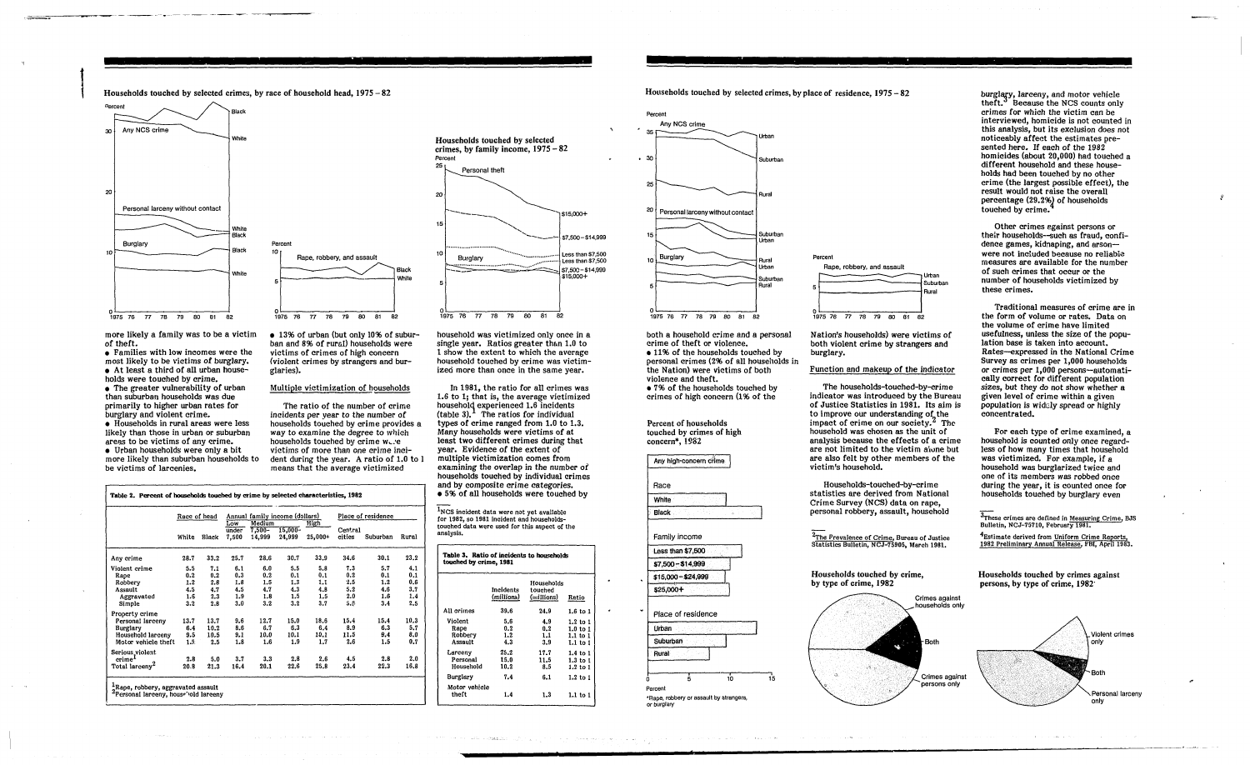- ------,.----- --------

Households touched by selected crimes, by race of household head,  $1975 - 82$ 



more likely a family was to be a victim of theft.

• Families with low incomes were the most likely to be victims of burglary. • At least a third of all urban house-

holds were touched by crime. • The greater vulnerability of urban than suburban households was due primarily to higher urban rates for burglary and violent crime.

• Households in rural areas were less likely than those in urban or suburban areas to be victims of any crime. • Urban households were only a bit more likely than suburban households to be victims of larcenies.



• 13% of urban (but only 10% of suburban and 8% of rural) households were victims of crimes of high concern (violent crimes by strangers and burglaries).

#### Multiple victimization of households

The ratio of the number of crime incidents per year to the number of households touched by crime provides a way to examine the degree to which households touched by crime www.e victims of more than one crime incident during the year. A ratio of 1.0 to I means that the average victimized

Table 2. Percent of households touched by crime by selected characteristics, 1982

|                            | Race of head |       |                                             | Annual family income (dollars) |                   |                   | Place of residence |          |       |
|----------------------------|--------------|-------|---------------------------------------------|--------------------------------|-------------------|-------------------|--------------------|----------|-------|
|                            | White        | Black | Low<br>$\overline{\mathsf{under}}$<br>7,500 | Medium<br>$7,500 -$<br>14,999  | 15,000-<br>24,999 | High<br>$25,000+$ | Central<br>cities  | Suburban | Rural |
| Any crime                  | 28.7         | 33.2  | 25.7                                        | 28.6                           | 30.7              | 33.9              | 34.6               | 30.1     | 23.2  |
| Violent crime              | 5.5          | 7.1   | 6.1                                         | 6.0                            | 5.5               | 5.8               | 7.3                | 5.7      | 4.1   |
| Rape                       | 0.2          | 0.2   | 0.3                                         | 0.2                            | 0.1               | 0.1               | 0.2                | 0.1      | 0.1   |
| Robbery                    | 1.2          | 2.8   | 1.8                                         | 1.5                            | 1,3               | 1.1               | 2.5                | 1.2      | 0.6   |
| Assault                    | 4.5          | 4.7   | 4.5                                         | 4.7                            | 4.3               | 4.8               | 5.2                | 4.6      | 3.7   |
| Aggravated                 | 1.6          | 2.3   | 1.9                                         | 1.8                            | 1.5               | 1.5               | 2.0                | 1.6      | 1.4   |
| Simple                     | 3.2          | 2,8   | 3.0                                         | 3.2                            | 3.2               | 3.7               | S.S                | 3.4      | 2.5   |
| Property crime             |              |       |                                             |                                |                   |                   |                    |          |       |
| Personal larceny           | 13.7         | 13.7  | 9.6                                         | 12.7                           | 15.0              | 18.6              | 15.4               | 15.4     | 10.3  |
| <b>Burglary</b>            | 6.4          | 10.2  | 8.6                                         | 6.7                            | 6.3               | 6.4               | 8.9                | 6.3      | 5.7   |
| Household larceny          | 9.5          | 10.5  | 9,1                                         | 10.0                           | 10.1              | 10.1              | 11.5               | 9.4      | 8,0   |
| Motor vehicle theft        | 1.5.         | 2.5   | 1.8                                         | 1.6                            | 1.9               | 1.7               | 2.6                | 1.5      | 0.7   |
| Serious_violent            |              |       |                                             |                                |                   |                   |                    |          |       |
| crime <sup>1</sup>         | 2.8          | 5.0   | 3.7                                         | 3.3                            | 2.8               | 2.6               | 4.5                | 2.8      | 2.0   |
| Total larceny <sup>2</sup> | 20.8         | 21.3  | 16.4                                        | 20.1                           | 22.6              | 25.8              | 23.4               | 22.3     | 16.8  |

household was victimized only once in a single year. Ratios greater than 1.0 to 1 show the extent to which the average household touched by crime was victimized more than once in the same year.

burglary, larceny, and motor vehicle theft.<sup>3</sup> Because the NCS counts only crimes for which the victim can be interviewed, homicide is not counted in this analysis, but its exclusion does not noticeably affect the estimates presented here. If each of the 1982 homicides (about 20,000) had touched a different household and these households had been touched by no other crime (the largest possible effect), the result would not raise the overall percentage (29.2%) of households touched by crime.

In 1981, the ratio for all crimes was 1.6 to 1; that is, the average victimized household experienced 1.6 incidents  $(table 3)$ .<sup>1</sup> The ratios for individual types of crime ranged from 1.0 to 1.3. Many households were victims of at least two different crimes during that year. Evidence of the extent of multiple victimization comes from examining the overlap in the number of households touched by individual crimes and by composite crime categories. • 5% of all households were touched by



1NCS incident data were not yet available for 1982, so 1981 incident and householdstouched data were used for this aspect of the analysis.

| Table 3. Ratio of incidents to households<br>touched by crime, 1981 |                           |                                     |                     |  |  |  |  |
|---------------------------------------------------------------------|---------------------------|-------------------------------------|---------------------|--|--|--|--|
|                                                                     | Incidents<br>(millions) - | Households<br>touched<br>(millions) | Ratio               |  |  |  |  |
| All crimes                                                          | 39.6                      | 24.9                                | 1.6 to 1            |  |  |  |  |
| Violent                                                             | 5.6                       | 4.9                                 | $1.2$ to $1$        |  |  |  |  |
| Rape                                                                | 0.2                       | 0.2                                 | $1.0$ to $1$        |  |  |  |  |
| Robbery                                                             | 1.2                       | 1.1                                 | 1.1 to 1            |  |  |  |  |
| Assault                                                             | 4.3                       | 3.9                                 | 1.1 to 1            |  |  |  |  |
| Larceny                                                             | 25.2                      | 17.7                                | $1.4 \text{ to } 1$ |  |  |  |  |
| Personal                                                            | 15.0                      | 11.5                                | $1.3$ to $1$        |  |  |  |  |
| Household                                                           | 10.2                      | 8.5                                 | $1.2$ to $1$        |  |  |  |  |
| Burglary                                                            | 7.4                       | 6.1                                 | 1.2 to 1            |  |  |  |  |
| Motor vehicle                                                       |                           |                                     |                     |  |  |  |  |
| theft                                                               | 1.4                       | 1.3                                 | $1.1$ to $1$        |  |  |  |  |

in the common way is attacked in the sum of the common state of the product of the

#### Households touched by selected crimes, by place of residence,  $1975 - 82$



both a household crime and a personal crime of theft or violence. • 11% of the households touched by personal crimes (2% of all households in the Nation) were victims of both violence and theft. • 7% of the households touched by crimes of high concern (1% of the

Percent of households touched by crimes of high concern\*, 1982





Nation's households) were victims of both violent crime by strangers and burglary.

#### Function and makeup of the indicator

The households-touched-by-crim e indicator was introduced by the Bureau of Justice Statistics in 1981. Its aim is to improve our understanding of the impact of crime on our society.<sup>2</sup> The household was chosen as the unit of analysis because the effects of a crime are not limited to the victim alone but are also felt by other members of the victim's household.

Households-touched-by-crime statistics are derived from National Crime Survey (NCS) data on rape, personal robbery, assault, household

7 The Prevalence of Crime, Bureau of Justice<br>Statistics Bulletin, NCJ-75905, March 1981.

Households touched by crime, by type of crime, 1982



Other crimes egainst persons or their households--such as fraud, confidence games, kidnaping, and arsonwere not included because no reliable measures are available for the number of such crimes that occur or the number of househOlds victimized by these crimes.

Traditional measures of crime are in the form of volume or rates. Data on the volume of crime have limited usefulness, unless the size of the population base is taken into account. Rates-expressed in the National Crime Survey as crimes per 1,000 households or crimes per 1,000 persons-automatically correct for different population sizes, but they do not show whether a given level of crime within a given population is widely spread or highly concentrated.

For each type of crime examined, a household is counted only once regardless of how many times that household was victimized. For example, if a household was burglarized twice and one of its members was robbed once during the year, it is counted once for households touched by burglary even

<sup>o</sup>These crimes are defined in <u>Measuring Crime</u>, BJS<br>Bulletin, NCJ-75710, February 1981.

4Est.imate derived from Uniform Crime Reports, 1982 Preliminary Annual Release, FBI, April 1983.

Households touched by crimes against persons, by type of crime, 1982'

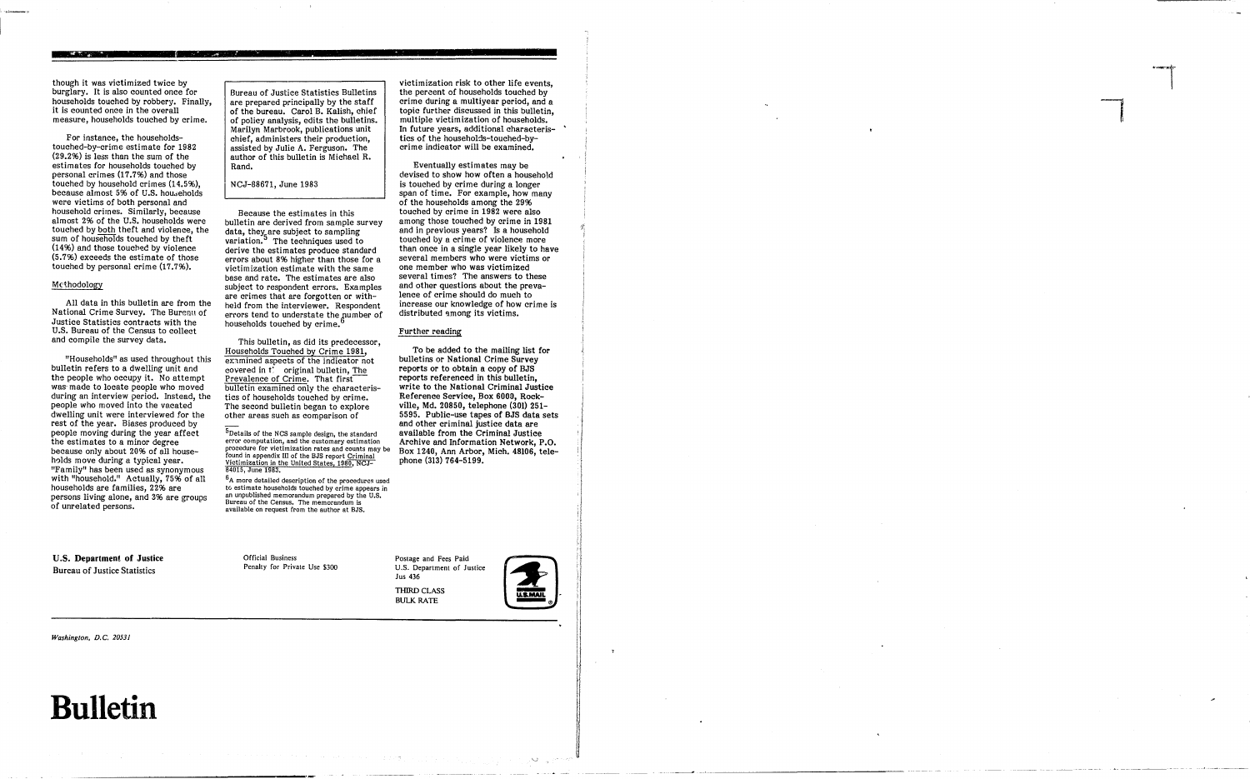though it was victimized twice by burglary. It is also counted once for households touched by robbery. Finally, it is counted once in the overall measure, households touched by crime.

For instance, the householdstouched-by-crime estimate for 1982 (29.2%) is less than the sum of the estimates for households touched by personal crimes (17.7%) and those touched by household crimes (14.5%), because almost 5% of U.S. hou.seholds were victims of both personal and household crimes. Similarly, because almost 2% of the U.S. households were touched by both theft and violence, the sum of households touched by theft  $(14%)$  and those touched by violence (5.7%) exceeds the estimate of those touched by personal crime (17.7%).

#### Methodology

"Households" as used throughout this bulletin refers to a dwelling unit and the people who occupy it. No attempt was' made to locate people who moved during an interview period. Instead, the people who moved into the vacated dwelling unit were interviewed for the rest of the year. Biases produced by people moving during the year affect the estimates to a minor degree because only about 20% of all households move during a typical year. "Family" has been used as synonymous with "household." Actually, 75% of all households are families, 22% are persons living alone, and 3% are groups of unrelated persons.

All data in this bulletin are from the National Crime Survey. The Bureau of Justice Statistics contracts with the U.S. Bureau of the Census to collect and compile the survey data.

Because the estimates in this bulletin are derived from sample survey data, they are subject to sampling variation.<sup>5</sup> The techniques used to derive the estimates produce standard errors about 8% higher than those for a victimization estimate with the same base and rate. The estimates are also subject to respondent errors. Examples are crimes that are forgotten or withheld from the interviewer. Respondent errors tend to understate the number of households touched by crime.<sup>6</sup>

U.S. Department of Justice Bureau of Justice Statistics

 $6$ A more detailed description of the procedures used to estimate households touched by crime appears in an unpublished memorandum prepared by the U.S. Bureau of the Census. The memorandum is available on request from the author at BJS.

*Washington, D.C. 20531* 

### **Bulletin**

Bureau of Justice Statistics Bulletins are prepared principally by the staff of the bureau. Carol B. Kalish, chief of policy analysis, edits the bulletins. Marilyn Marbrook, publications unit chief, administers their production, assisted by Julie A. Ferguson. The author of this bulletin is Michael R. Rand.

Eventually estimates may be devised to show how often a household is touched by crime during a longer span of time. For example, how many of the households among the 29% touched by crime in 1982 were also among those touched by crime in 1981 and in previous years'? Is a household touched by a crime of violence more than once in a single year likely to have several members who were victims or one member who was victimized several times? The answers to these and other questions about the prevalence of crime should do much to increase our knowledge of how crime is distributed among its victims.

, the state of  $\mathcal{C}$  , and  $\mathcal{C}$  , and  $\mathcal{C}$  ,  $\mathcal{C}$  ,  $\mathcal{C}$  ,  $\mathcal{C}$  ,  $\mathcal{C}$  ,  $\mathcal{C}$  ,  $\mathcal{C}$  ,  $\mathcal{C}$  ,  $\mathcal{C}$  ,  $\mathcal{C}$  ,  $\mathcal{C}$  ,  $\mathcal{C}$  ,  $\mathcal{C}$  ,  $\mathcal{C}$  ,  $\mathcal{C}$  ,  $\mathcal{C}$  ,

#### NCJ-88671, June 1983

Postage and Fees Paid U.S. Department of Justice Jus 436 THIRD CLASS Postage and Fees Paid<br>U.S. Department of Justice<br>Jus 436<br>BULK RATE



14 i I I

i I  $\parallel$ 

 $\prod_{i=1}^{n}$ 

t. )' i  $\mathbb{R}$ 

This bulletin, as did its predecessor, Households Touched by Crime 1981, examined aspects of the indicator not covered in t: original bulletin, The Prevalence of Crime. That first bulletin examined only the characteristics of households touched by crime. The second bulletin began to explore other areas such as comparison of

5Details of the NCS sample design, the standard error computation, and the customary estimation procedure for victimization rates and counts may be found in appendix III of the BJS report Criminal Victimization in the United States, 1980, NCJ-84015, June 1983.

> Official Business Penalty for Private Use \$300

victimization risk to other life events, the percent of households touched by crime during a multiyear period, and a topic further discussed in this bulletin, multiple victimization of households. In future years, additional characteristics of the households-touched-bycrime indicator will be examined.

#### Further reading

To be added to the mailing list for bulletins or National Crime Survey reports or to obtain a copy of BJS reports referenced in this bulletin, write to the National Criminal Justice Reference Service, Box 6000, Rockville, Md. 20850, telephone (301) 251- 5595. Public-use tapes of BJS data sets and other criminal justice data are available from the Criminal Justice Archive and Information Network, P.O. Box 1240, Ann Arbor, Mich. 48106, telephone (313) 764-5199.

> t t

i -------------------.-------